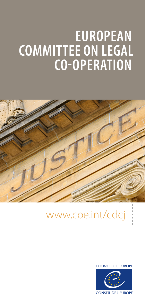# **EUROPEAN COMMITTEE ON LEGAL CO-OPERATION**



## www.coe.int/cdcj

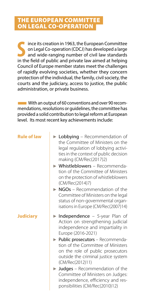#### THE EUROPEAN COMMITTEE ON LEGAL CO-OPERATION

ince its creation in 1963, the European Committee<br>
on Legal Co-operation (CDCJ) has developed a large<br>
and wide-ranging number of civil law standards<br>
in the field of public and private law aimed at helping ince its creation in 1963, the European Committee on Legal Co-operation (CDCJ) has developed a large and wide-ranging number of civil law standards Council of Europe member states meet the challenges of rapidly evolving societies, whether they concern protection of the individual, the family, civil society, the courts and the judiciary, access to justice, the public administration, or private business.

**With an output of 60 conventions and over 90 recom**mendations, resolutions or guidelines, the committee has provided a solid contribution to legal reform at European level. Its most recent key achievements include:

| × |  |
|---|--|
|   |  |

- ► Lobbying Recommendation of the Committee of Ministers on the legal regulation of lobbying activities in the context of public decision making (CM/Rec(2017)2)
- ► Whistleblowers Recommendation of the Committee of Ministers on the protection of whistleblowers (CM/Rec(2014)7)
- ► NGOs Recommendation of the Committee of Ministers on the legal status of non-governmental organisations in Europe (CM/Rec(2007)14)
- **Judiciary** ► Independence 5-year Plan of Action on strengthening judicial independence and impartiality in Europe (2016-2021)
	- ► Public prosecutors Recommendation of the Committee of Ministers on the role of public prosecutors outside the criminal justice system (CM/Rec(2012)11)
	- ► Judges Recommendation of the Committee of Ministers on Judges: independence, efficiency and responsibilities (CM/Rec(2010)12)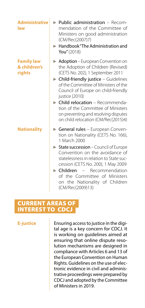| <b>Administrative</b><br>law                | $\blacktriangleright$ Public administration – Recom-<br>mendation of the Committee of<br>Ministers on good administration<br>(CM/Rec(2007)7)<br>$\blacktriangleright$ Handbook "The Administration and<br>You" (2018)                                                                                                                                                                                                              |
|---------------------------------------------|------------------------------------------------------------------------------------------------------------------------------------------------------------------------------------------------------------------------------------------------------------------------------------------------------------------------------------------------------------------------------------------------------------------------------------|
| <b>Family law</b><br>& children's<br>rights | Adoption – European Convention on<br>the Adoption of Children (Revised)<br>(CETS No. 202), 1 September 2011<br>$\triangleright$ Child-friendly justice – Guidelines<br>of the Committee of Ministers of the<br>Council of Europe on child-friendly<br>justice (2010)<br><b>Child relocation</b> - Recommenda-<br>tion of the Committee of Ministers<br>on preventing and resolving disputes<br>on child relocation (CM/Rec(2015)4) |
| <b>Nationality</b>                          | General rules - European Conven-<br>tion on Nationality (CETS No. 166),<br>1 March 2000<br>$\triangleright$ State succession – Council of Europe<br>Convention on the avoidance of<br>statelessness in relation to State suc-<br>cession (CETS No. 200), 1 May 2009<br>$\blacktriangleright$ Children $-$<br>Recommendation<br>of the Committee of Ministers<br>on the Nationality of Children<br>(CM/Rec(2009)13)                 |

#### CURRENT AREAS OF INTEREST TO CDCJ

**E-justice E-justice E-symbol E**nsuring access to justice in the digital age is a key concern for CDCJ. It is working on guidelines aimed at ensuring that online dispute resolution mechanisms are designed in compliance with Articles 6 and 13 of the European Convention on Human Rights. Guidelines on the use of electronic evidence in civil and administrative proceedings were prepared by CDCJ and adopted by the Committee of Ministers in 2019.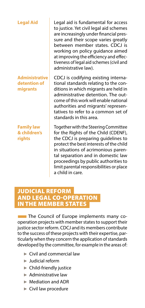#### **Administrative detention of migrants**

**Family law & children's rights**

**Legal Aid** Legal aid is fundamental for access to justice. Yet civil legal aid schemes are increasingly under financial pressure and their scope varies greatly between member states. CDCJ is working on policy guidance aimed at improving the efficiency and effectiveness of legal aid schemes (civil and administrative law).

> CDCJ is codifying existing international standards relating to the conditions in which migrants are held in administrative detention. The outcome of this work will enable national authorities and migrants' representatives to refer to a common set of standards in this area.

> Together with the Steering Committee for the Rights of the Child (CDENF), the CDCJ is preparing guidelines to protect the best interests of the child in situations of acrimonious parental separation and in domestic law proceedings by public authorities to limit parental responsibilities or place a child in care.

#### JUDICIAL REFORM AND LEGAL CO-OPERATION IN THE MEMBER STATES

**The Council of Europe implements many co**operation projects with member states to support their justice sector reform. CDCJ and its members contribute to the success of these projects with their expertise, particularly when they concern the application of standards developed by the committee, for example in the areas of:

- ► Civil and commercial law
- ► Judicial reform
- ► Child-friendly justice
- ► Administrative law
- ► Mediation and ADR
- ► Civil law procedure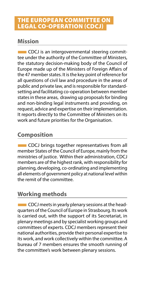#### THE EUROPEAN COMMITTEE ON LEGAL CO-OPERATION (CDCJ)

#### **Mission**

■CDCJ is an intergovernmental steering committee under the authority of the Committee of Ministers, the statutory decision-making body of the Council of Europe made up of the Ministers of Foreign Affairs of the 47 member states. It is the key point of reference for all questions of civil law and procedure in the areas of public and private law, and is responsible for standardsetting and facilitating co-operation between member states in these areas, drawing up proposals for binding and non-binding legal instruments and providing, on request, advice and expertise on their implementation. It reports directly to the Committee of Ministers on its work and future priorities for the Organisation.

### **Composition**

**EXTE:** CDCJ brings together representatives from all member States of the Council of Europe, mainly from the ministries of justice. Within their administration, CDCJ members are of the highest rank, with responsibility for planning, developing, co-ordinating and implementing all elements of government policy at national level within the remit of the committee.

#### **Working methods**

**EXTE:** CDCJ meets in yearly plenary sessions at the headquarters of the Council of Europe in Strasbourg. Its work is carried out, with the support of its Secretariat, in plenary meetings and by specialist working groups and committees of experts. CDCJ members represent their national authorities, provide their personal expertise to its work, and work collectively within the committee. A bureau of 7 members ensures the smooth running of the committee's work between plenary sessions.